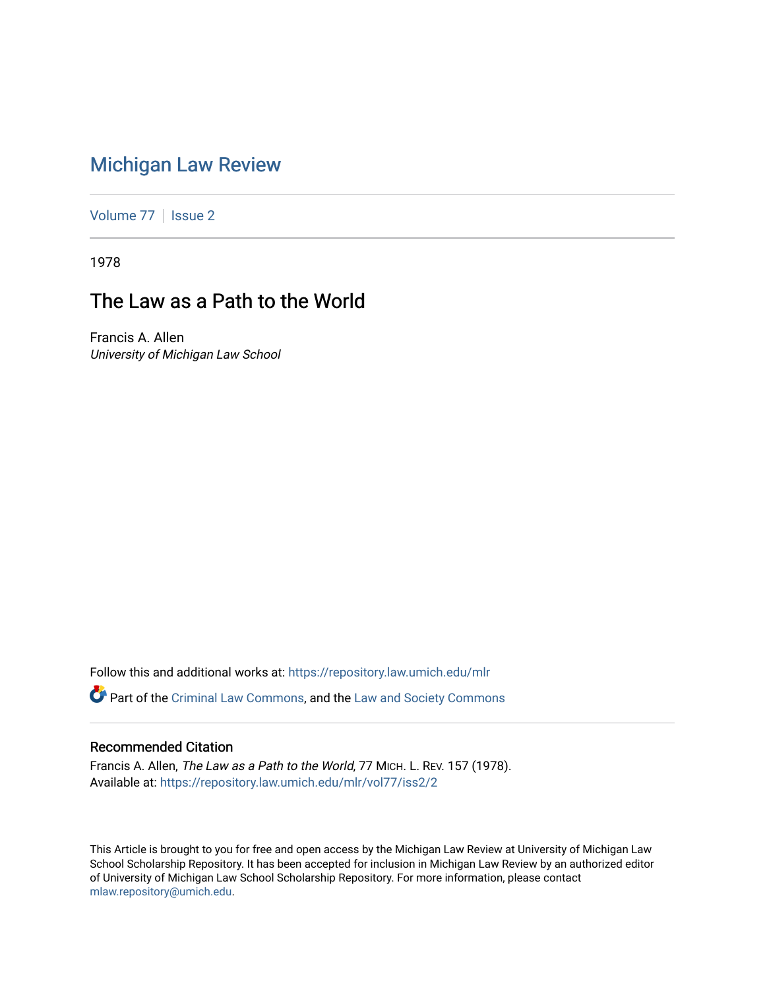## [Michigan Law Review](https://repository.law.umich.edu/mlr)

[Volume 77](https://repository.law.umich.edu/mlr/vol77) | [Issue 2](https://repository.law.umich.edu/mlr/vol77/iss2)

1978

# The Law as a Path to the World

Francis A. Allen University of Michigan Law School

Follow this and additional works at: [https://repository.law.umich.edu/mlr](https://repository.law.umich.edu/mlr?utm_source=repository.law.umich.edu%2Fmlr%2Fvol77%2Fiss2%2F2&utm_medium=PDF&utm_campaign=PDFCoverPages) 

Part of the [Criminal Law Commons,](http://network.bepress.com/hgg/discipline/912?utm_source=repository.law.umich.edu%2Fmlr%2Fvol77%2Fiss2%2F2&utm_medium=PDF&utm_campaign=PDFCoverPages) and the [Law and Society Commons](http://network.bepress.com/hgg/discipline/853?utm_source=repository.law.umich.edu%2Fmlr%2Fvol77%2Fiss2%2F2&utm_medium=PDF&utm_campaign=PDFCoverPages) 

#### Recommended Citation

Francis A. Allen, The Law as a Path to the World, 77 MICH. L. REV. 157 (1978). Available at: [https://repository.law.umich.edu/mlr/vol77/iss2/2](https://repository.law.umich.edu/mlr/vol77/iss2/2?utm_source=repository.law.umich.edu%2Fmlr%2Fvol77%2Fiss2%2F2&utm_medium=PDF&utm_campaign=PDFCoverPages)

This Article is brought to you for free and open access by the Michigan Law Review at University of Michigan Law School Scholarship Repository. It has been accepted for inclusion in Michigan Law Review by an authorized editor of University of Michigan Law School Scholarship Repository. For more information, please contact [mlaw.repository@umich.edu.](mailto:mlaw.repository@umich.edu)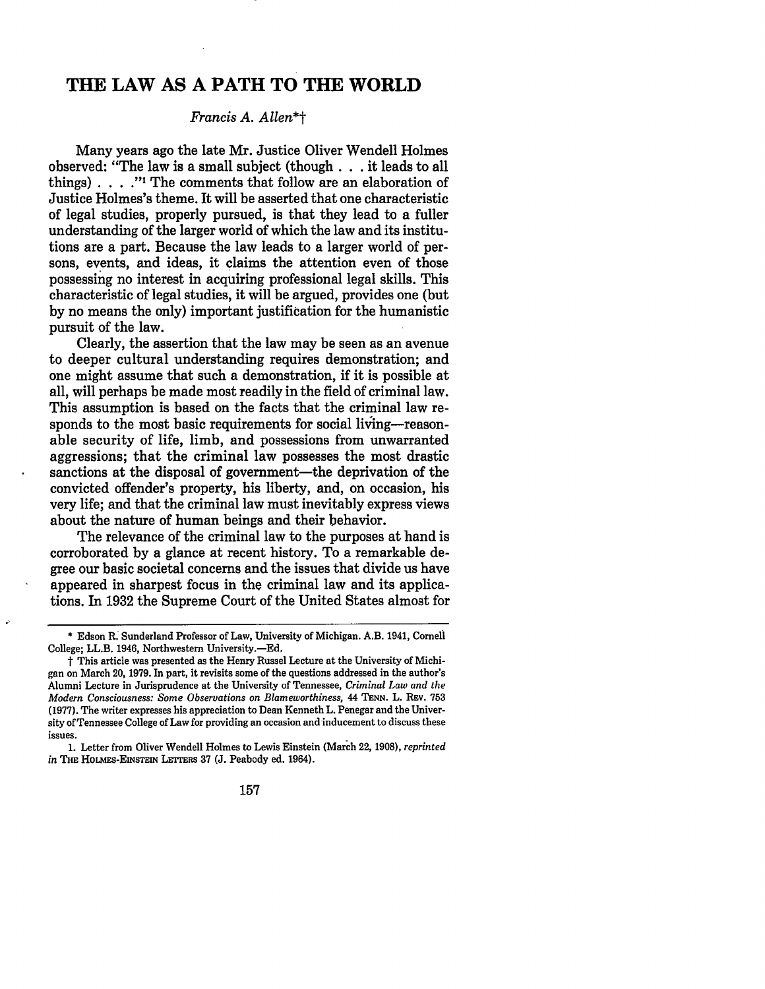### **THE LAW AS A PATH TO THE WORLD**

#### *Francis A. Allen\*t*

Many years ago the late Mr. Justice Oliver Wendell Holmes observed: "The law is a small subject (though ... it leads to all things)....."<sup>1</sup> The comments that follow are an elaboration of Justice Holmes's theme. It will be asserted that one characteristic of legal studies, properly pursued, is that they lead to a fuller understanding of the larger world of which the law and its institutions are a part. Because the law leads to a larger world of persons, events, and ideas, it claims the attention even of those possessing no interest in acquiring professional legal skills. This characteristic of legal studies, it will be argued, provides one (but by no means the only) important justification for the humanistic pursuit of the law.

Clearly, the assertion that the law may be seen as an avenue to deeper cultural understanding requires demonstration; and one might assume that such a demonstration, if it is possible at all, will perhaps be made most readily in the field of criminal law. This assumption is based on the facts that the criminal law responds to the most basic requirements for social living-reasonable security of life, limb, and possessions from unwarranted aggressions; that the criminal law possesses the most drastic sanctions at the disposal of government—the deprivation of the convicted offender's property, his liberty, and, on occasion, his very life; and that the criminal law must inevitably express views about the nature of human beings and their behavior.

The relevance of the criminal law to the purposes at hand is corroborated by a glance at recent history. To a remarkable degree our basic societal concerns and the issues that divide us have appeared in sharpest focus in the criminal law and its applications. In 1932 the Supreme Court of the United States almost for

Þ

157

<sup>\*</sup> Edson R: Sunderland Professor of Law, University of Michigan. A.B. 1941, Comeli College; LL.B. 1946, Northwestern University.-Ed.

t This article was presented as the Henry Russel Lecture at the University of Michigan on March 20, 1979. In part, it revisits some of the questions addressed in the author's Alumni Lecture in Jurisprudence at the University of Tennessee, *Criminal l,aw and the Modern Consciousness: Some Observations on Blameworthiness,* 44 TENN. L. REv. 753 (1977). The writer expresses his appreciation to Dean Kenneth L. Penegar and the University of Tennessee College of Law for providing an occasion and-inducement to discuss these issues.

<sup>1.</sup> Letter from Oliver Wendell Holmes to Lewis Einstein (March 22, 1908), *reprinted in* THE HOLMES-EINSTEIN LETrERs 37 (J. Peabody ed. 1964).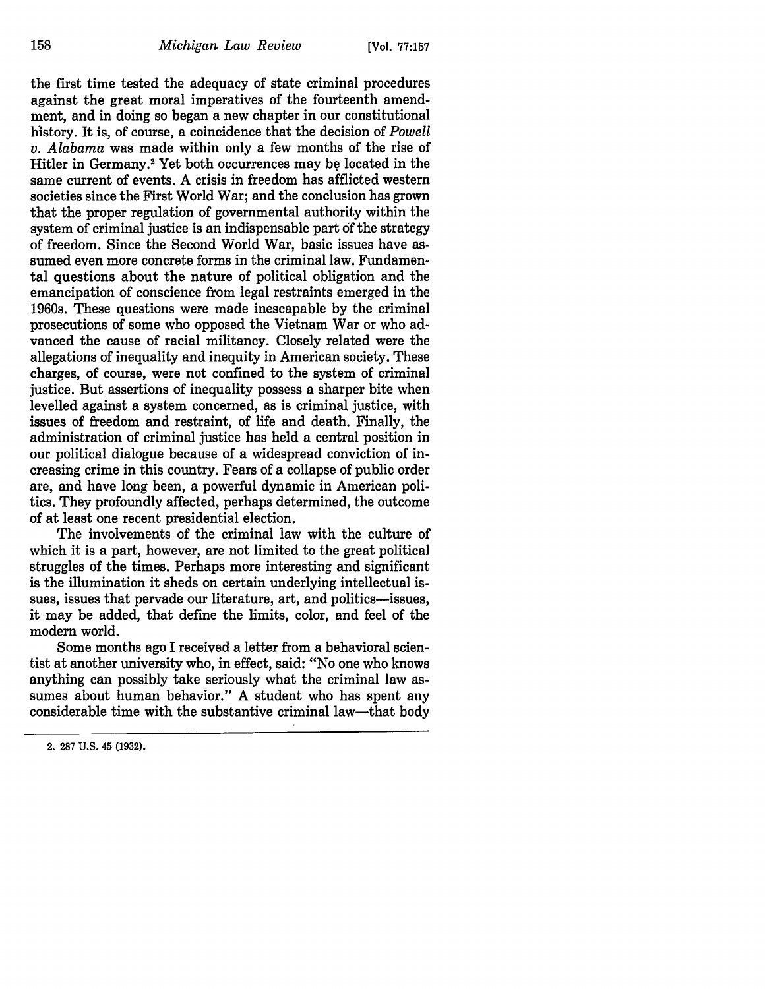the first time tested the adequacy of state criminal procedures against the great moral imperatives of the fourteenth amendment, and in doing so began a new chapter in our constitutional history. It is, of course, a coincidence that the decision of *Powell v. Alabama* was made within only a few months of the rise of Hitler in Germany.<sup>2</sup> Yet both occurrences may be located in the same current of events. A crisis in freedom has afflicted western societies since the First World War; and the conclusion has grown that the proper regulation of governmental authority within the system of criminal justice is an indispensable part of the strategy of freedom. Since the Second World War, basic issues have assumed even more concrete forms in the criminal law. Fundamental questions about the nature of political obligation and the emancipation of conscience from legal restraints emerged in the 1960s. These questions were made inescapable by the criminal prosecutions of some who opposed the Vietnam War or who advanced the cause of racial militancy. Closely related were the allegations of inequality and inequity in American society. These charges, of course, were not confined to the system of criminal justice. But assertions of inequality possess a sharper bite when levelled against a system concerned, as is criminal justice, with issues of freedom and restraint, of life and death. Finally, the administration of criminal justice has held a central position in our political dialogue because of a widespread conviction of increasing crime in this country. Fears of a collapse of public order are, and have long been, a powerful dynamic in American politics. They profoundly affected, perhaps determined, the outcome of at least one recent presidential election.

The involvements of the criminal law with the culture of which it is a part, however, are not limited to the great political struggles of the times. Perhaps more interesting and significant is the illumination it sheds on certain underlying intellectual issues, issues that pervade our literature, art, and politics-issues, it may be added, that define the limits, color, and feel of the modern world.

Some months ago I received a letter from a behavioral scientist at another university who, in effect, said: "No one who knows anything can possibly take seriously what the criminal law assumes about human behavior." A student who has spent any considerable time with the substantive criminal law-that body

<sup>2. 287</sup> U.S. 45 (1932).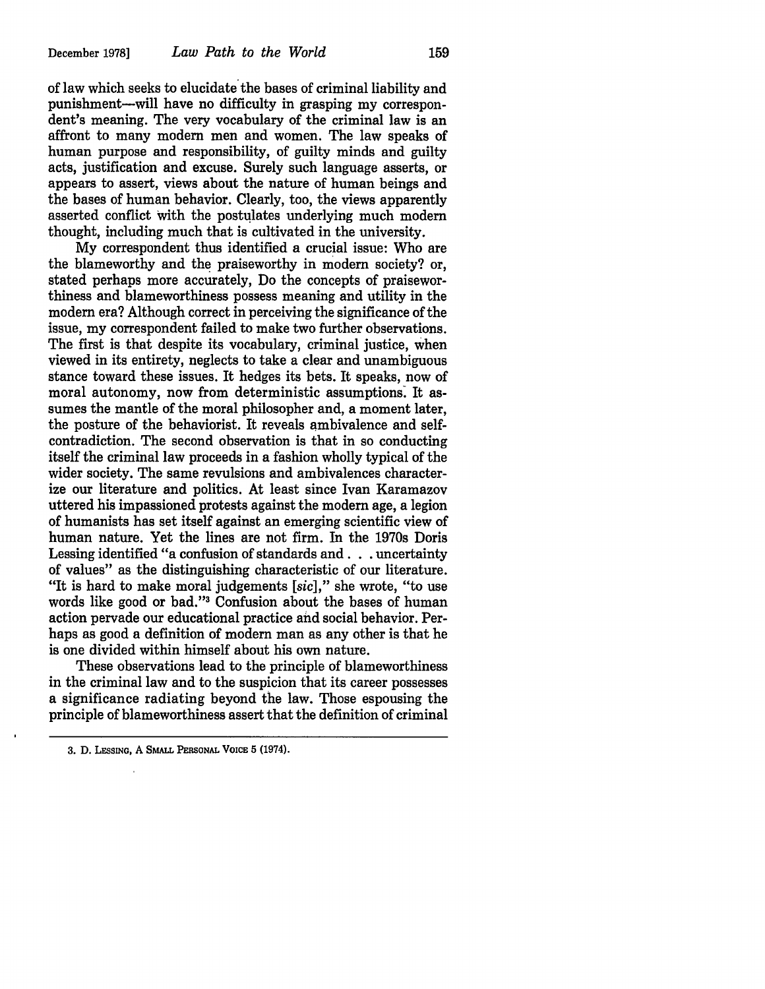of law which seeks to elucidate the bases of criminal liability and punishment-will have no difficulty in grasping my correspondent's meaning. The very vocabulary of the criminal law is an affront to many modern men and women. The law speaks of human purpose and responsibility, of guilty minds and guilty acts, justification and excuse. Surely such language asserts, or appears to assert, views about the nature of human beings and the bases of human behavior. Clearly, too, the views apparently asserted conflict with the postulates underlying much modern thought, including much that is cultivated in the university.

My correspondent thus identified a crucial issue: Who are the blameworthy and the praiseworthy in modern society? or, stated perhaps more accurately, Do the concepts of praiseworthiness and blameworthiness possess meaning and utility in the modern era? Although correct in perceiving the significance of the issue, my correspondent failed to make two further observations. The first is that despite its vocabulary, criminal justice, when viewed in its entirety, neglects to take a clear and unambiguous stance toward these issues. It hedges its bets. It speaks, now of moral autonomy, now from deterministic assumptions: It assumes the mantle of the moral philosopher and, a moment later, the posture of the behaviorist. It reveals ambivalence and selfcontradiction. The second observation is that in so conducting itself the criminal law proceeds in a fashion wholly typical of the wider society. The same revulsions and ambivalences characterize our literature and politics. At least since Ivan Karamazov uttered his impassioned protests against the modern age, a legion of humanists has set itself against an emerging scientific view of human nature. Yet the lines are not firm. In the 1970s Doris Lessing identified "a confusion of standards and . . . uncertainty of values" as the distinguishing characteristic of our literature. "It is hard to make moral judgements *[sic],"* she wrote, "to use words like good or bad."<sup>3</sup> Confusion about the bases of human action pervade our educational practice and social behavior. Perhaps as good a definition of modern man as any other is that he is one divided within himself about his own nature.

These observations lead to the principle of blameworthiness in the criminal law and to the suspicion that its career possesses a significance radiating beyond the law. Those espousing the principle of blameworthiness assert that the definition of criminal

<sup>3.</sup> D. LESSING, A SMALL PERsONAL VOICE 5 (1974).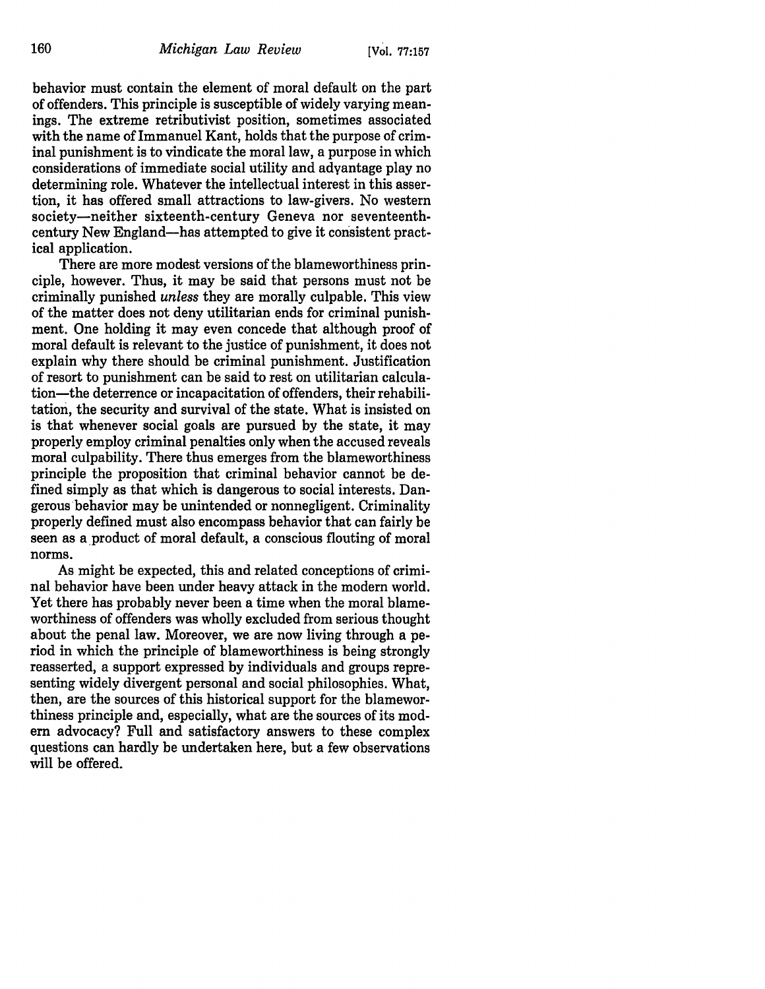behavior must contain the element of moral default on the part of offenders. This principle is susceptible of widely varying meanings. The extreme retributivist position, sometimes associated with the name of Immanuel Kant, holds that the purpose of criminal punishment is to vindicate the moral law, a purpose in which considerations of immediate social utility and advantage play no determining role. Whatever the intellectual interest in this assertion, it has offered small attractions to law-givers. No western society-neither sixteenth-century Geneva nor seventeenthcentury New England-has attempted to give it consistent practical application.

There are more modest versions of the blameworthiness principle, however. Thus, it may be said that persons must not be criminally punished *unless* they are morally culpable. This view of the matter does not deny utilitarian ends for criminal punishment. One holding it may even concede that although proof of moral default is relevant to the justice of punishment, it does not explain why there should be criminal punishment. Justification of resort to punishment can be said to rest on utilitarian calculation-the deterrence or incapacitation of offenders, their rehabilitation, the security and survival of the state. What is insisted on is that whenever social goals are pursued by the state, it may properly employ criminal penalties only when the accused reveals moral culpability. There thus emerges from the blameworthiness principle the proposition that criminal behavior cannot be defined simply as that which is dangerous to social interests. Dangerous behavior may be unintended or nonnegligent. Criminality properly defined must also encompass behavior that can fairly be seen as a product of moral default, a conscious flouting of moral norms.

As might be expected, this and related conceptions of criminal behavior have been under heavy attack in the modern world. Yet there has probably never been a time when the moral blameworthiness of offenders was wholly excluded from serious thought about the penal law. Moreover, we are now living through a period in which the principle of blameworthiness is being strongly reasserted, a support expressed by individuals and groups representing widely divergent personal and social philosophies. What, then, are the sources of this historical support for the blameworthiness principle and, especially, what are the sources of its modern advocacy? Full and satisfactory answers to these complex questions can hardly be undertaken here, but a few observations will be offered.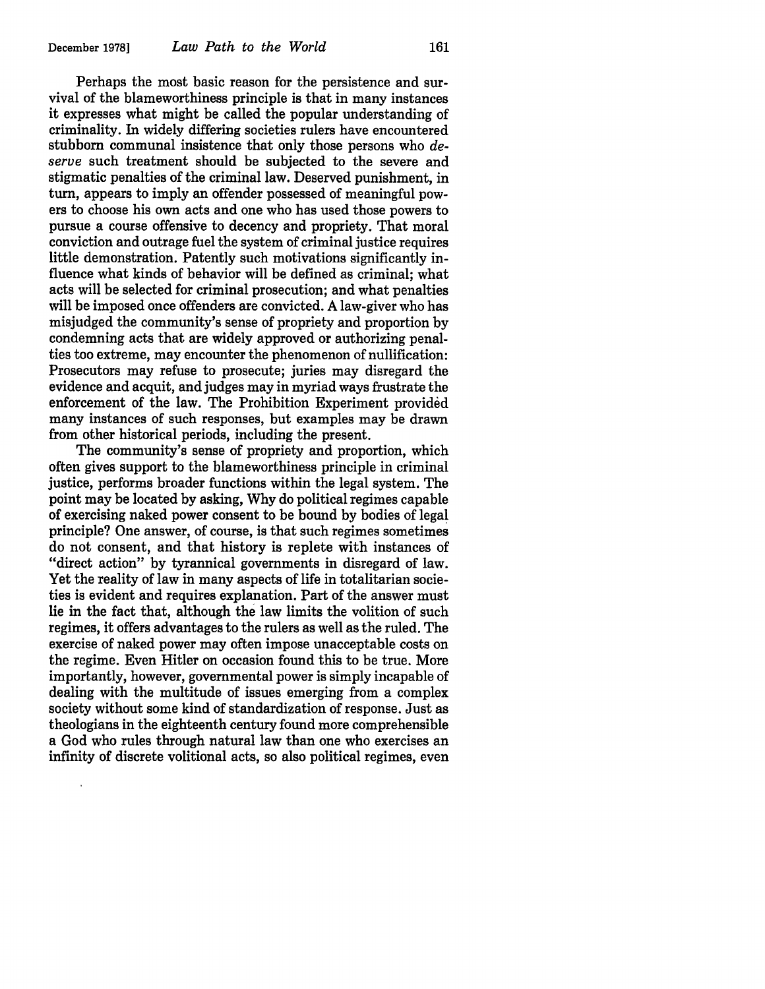Perhaps the most basic reason for the persistence and survival of the blameworthiness principle is that in many instances it expresses what might be called the popular understanding of criminality. In widely differing societies rulers have encountered stubborn communal insistence that only those persons who *deserve* such treatment should be subjected to the severe and stigmatic penalties of the criminal law. Deserved punishment, in tum, appears to imply an offender possessed of meaningful powers to choose his own acts and one who has used those powers to pursue a course offensive to decency and propriety. That moral conviction and outrage fuel the system of criminal justice requires little demonstration. Patently such motivations significantly influence what kinds of behavior will be defined as criminal; what acts will be selected for criminal prosecution; and what penalties will be imposed once offenders are convicted. A law-giver who has misjudged the community's sense of propriety and proportion by condemning acts that are widely approved or authorizing penalties too extreme, may encounter the phenomenon of nullification: Prosecutors may refuse to prosecute; juries may disregard the evidence and acquit, and judges may in myriad ways frustrate the enforcement of the law. The Prohibition Experiment provided many instances of such responses, but examples may be drawn from other historical periods, including the present.

The community's sense of propriety and proportion, which often gives support to the blameworthiness principle in criminal justice, performs broader functions within the legal system. The point may be located by asking, Why do political regimes capable of exercising naked power consent to be bound by bodies of legal principle? One answer, of course, is that such regimes sometimes do not consent, and that history is replete with instances of "direct action" by tyrannical governments in disregard of law. Yet the reality of law in many aspects of life in totalitarian societies is evident and requires explanation. Part of the answer must lie in the fact that, although the law limits the volition of such regimes, it offers advantages to the rulers as well as the ruled. The exercise of naked power may often impose unacceptable costs on the regime. Even Hitler on occasion found this to be true. More importantly, however, governmental power is simply incapable of dealing with the multitude of issues emerging from a complex society without some kind of standardization of response. Just as theologians in the eighteenth century found more comprehensible a God who rules through natural law than one who exercises an infinity of discrete volitional acts, so also political regimes, even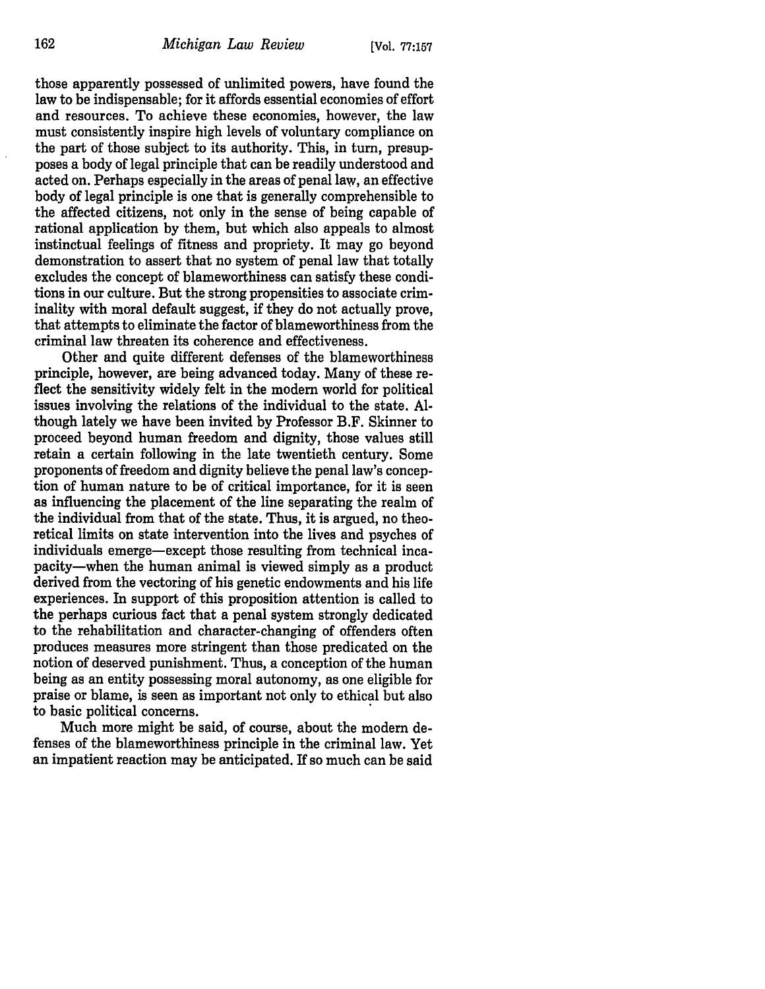those apparently possessed of unlimited powers, have found the law to be indispensable; for it affords essential economies of effort and resources. To achieve these economies, however, the law must consistently inspire high levels of voluntary compliance on the part of those subject to its authority. This, in turn, presupposes a body of legal principle that can be readily understood and acted on. Perhaps especially in the areas of penal law, an effective body of legal principle is one that is generally comprehensible to the affected citizens, not only in the sense of being capable of rational application by them, but which also appeals to almost instinctual feelings of fitness and propriety. It may go beyond demonstration to assert that no system of penal law that totally excludes the concept of blameworthiness can satisfy these conditions in our culture. But the strong propensities to associate criminality with moral default suggest, if they do not actually prove, that attempts to eliminate the factor of blameworthiness from the criminal law threaten its coherence and effectiveness.

Other and quite different defenses of the blameworthiness principle, however, are being advanced today. Many of these reflect the sensitivity widely felt in the modern world for political issues involving the relations of the individual to the state. Although lately we have been invited by Professor B.F. Skinner to proceed beyond human freedom and dignity, those values still retain a certain following in the late twentieth century. Some proponents of freedom and dignity believe the penal law's conception of human nature to be of critical importance, for it is seen as influencing the placement of the line separating the realm of the individual from that of the state. Thus, it is argued, no theoretical limits on state intervention into the lives and psyches of individuals emerge-except those resulting from technical incapacity-when the human animal is viewed simply as a product derived from the vectoring of his genetic endowments and his life experiences. In support of this proposition attention is called to the perhaps curious fact that a penal system strongly dedicated to the rehabilitation and character-changing of offenders often produces measures more stringent than those predicated on the notion of deserved punishment. Thus, a conception of the human being as an entity possessing moral autonomy, as one eligible for praise or blame, is seen as important not only to ethical but also to basic political concerns.

Much more might be said, of course, about the modern defenses of the blameworthiness principle in the criminal law. Yet an impatient reaction may be anticipated. If so much can be said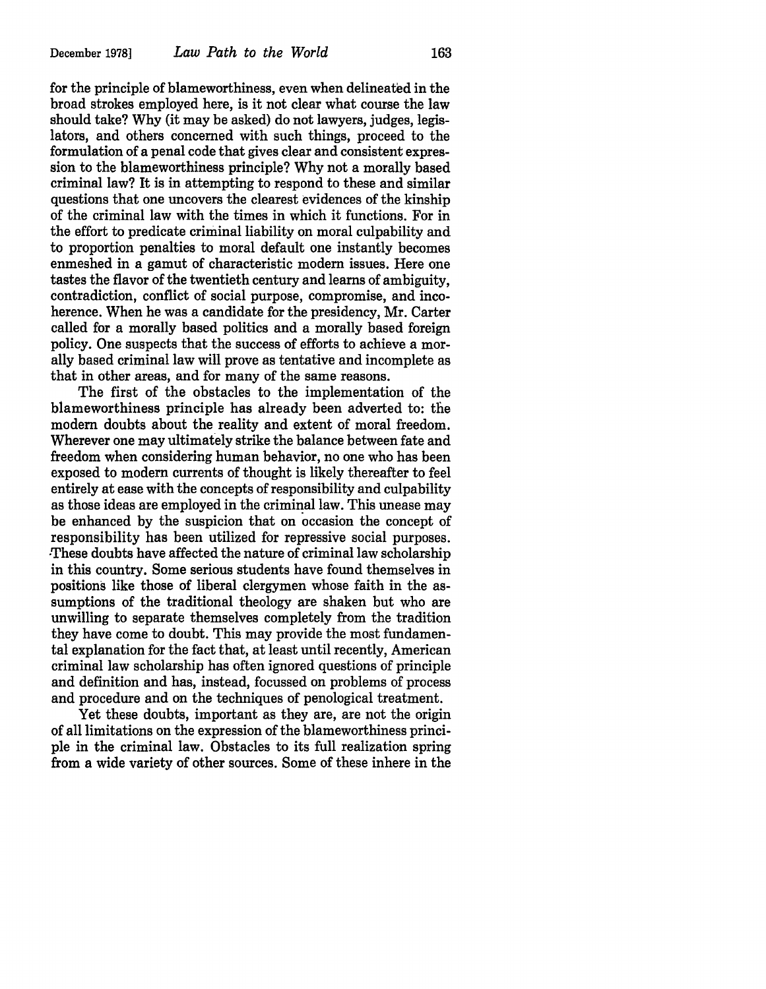for the principle of blameworthiness, even when delineated in the broad strokes employed here, is it not clear what course the law should take? Why (it may be asked) do not lawyers, judges, legislators, and others concerned with such things, proceed to the formulation of a penal code that gives clear and consistent expression to the blameworthiness principle? Why not a morally based criminal law? It is in attempting to respond to these and similar questions that one uncovers the clearest evidences of the kinship of the criminal law with the times in which it functions. For in the effort to predicate criminal liability on moral culpability and to proportion penalties to moral default one instantly becomes enmeshed in a gamut of characteristic modern issues. Here one tastes the flavor of the twentieth century and learns of ambiguity, contradiction, conflict of social purpose, compromise, and incoherence. When he was a candidate for the presidency, Mr. Carter called for a morally based politics and a morally based foreign policy. One suspects that the success of efforts to achieve a morally based criminal law will prove as tentative and incomplete as that in other areas, and for many of the same reasons.

The first of the obstacles to the implementation of the blameworthiness principle has already been adverted to: the modern doubts about the reality and extent of moral freedom. Wherever one may ultimately strike the balance between fate and freedom when considering human behavior, no one who has been exposed to modern currents of thought is likely thereafter to feel entirely at ease with the concepts of responsibility and culpability as those ideas are employed in the criminal law. This unease may be enhanced by the suspicion that on occasion the concept of responsibility has been utilized for repressive social purposes. -These doubts have affected the nature of criminal law scholarship in this country. Some serious students have found themselves in positions like those of liberal clergymen whose faith in the assumptions of the traditional theology are shaken but who are unwilling to separate themselves completely from the tradition they have come to doubt. This may provide the most fundamental explanation for the fact that, at least until recently, American criminal law scholarship has often ignored questions of principle and definition and has, instead, focussed on problems of process and procedure and on the techniques of penological treatment.

Yet these doubts, important as they are, are not the origin of all limitations on the expression of the blameworthiness principle in the criminal law. Obstacles to its full realization spring from a wide variety of other sources. Some of these inhere in the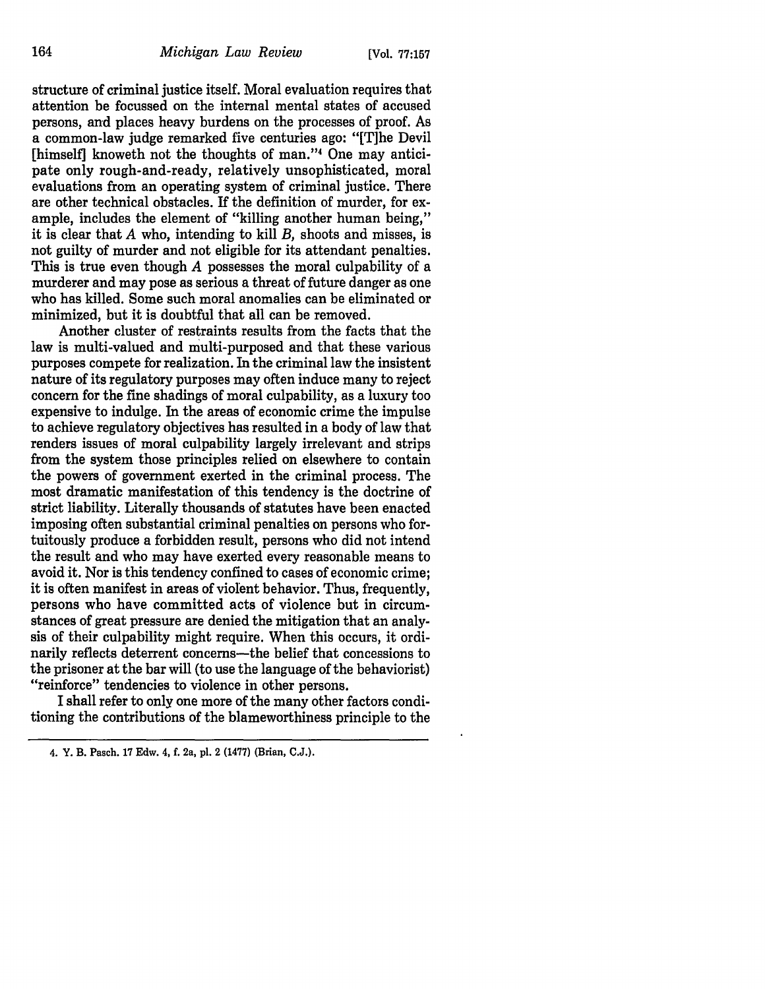structure of criminal justice itself. Moral evaluation requires that attention be focussed on the internal mental states of accused persons, and places heavy burdens on the processes of proof. As a common-law judge remarked five centuries ago: "[T]he Devil [himself] knoweth not the thoughts of man."4 One may anticipate only rough-and-ready, relatively unsophisticated, moral evaluations from an operating system of criminal justice. There are other technical obstacles. If the definition of murder, for example, includes the element of "killing another human being," it is clear that  $A$  who, intending to kill  $B$ , shoots and misses, is not guilty of murder and not eligible for its attendant penalties. This is true even though A possesses the moral culpability of a murderer and may pose as serious a threat of future danger as one who has killed. Some such moral anomalies can be eliminated or minimized, but it is doubtful that all can be removed.

Another cluster of restraints results from the facts that the law is multi-valued and multi-purposed and that these various purposes compete for realization. In the criminal law the insistent nature of its regulatory purposes may often induce many to reject concern for the fine shadings of moral culpability, as a luxury too expensive to indulge. In the areas of economic crime the impulse to achieve regulatory objectives has resulted in a body of law that renders issues of moral culpability largely irrelevant and strips from the system those principles relied on elsewhere to contain the powers of government exerted in the criminal process. The most dramatic manifestation of this tendency is the doctrine of strict liability. Literally thousands of statutes have been enacted imposing often substantial criminal penalties on persons who fortuitously produce a forbidden result, persons who did not intend the result and who may have exerted every reasonable means to avoid it. Nor is this tendency confined to cases of economic crime; it is often manifest in areas of violent behavior. Thus, frequently, persons who have committed acts of violence but in circumstances of great pressure are denied the mitigation that an analysis of their culpability might require. When this occurs, it ordinarily reflects deterrent concerns-the belief that concessions to the prisoner at the bar will (to use the language of the behaviorist) "reinforce" tendencies to violence in other persons.

I shall refer to only one more of the many other factors conditioning the contributions of the blameworthiness principle to the

<sup>4.</sup> Y. B. Pasch. 17 Edw. 4, f. 2a, pl. 2 (1477) (Brian, C.J.).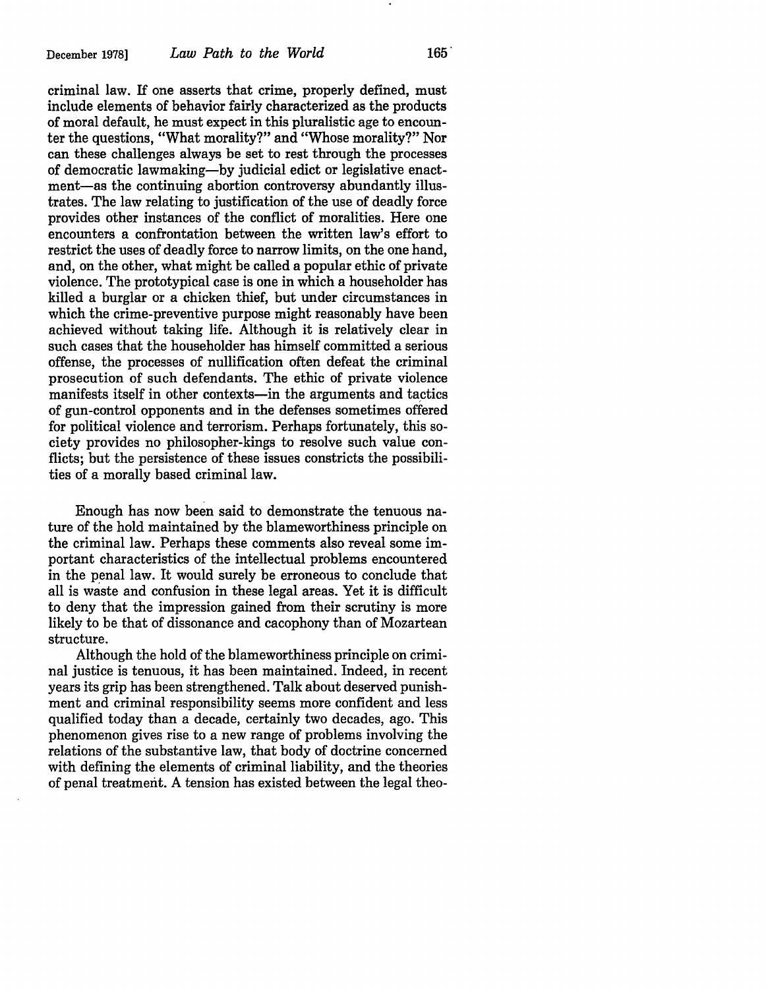criminal law. If one asserts that crime, properly defined, must include elements of behavior fairly characterized as the products of moral default, he must expect in this pluralistic age to encounter the questions, "What morality?" and "Whose morality?" Nor can these challenges always be set to rest through the processes of democratic lawmaking-by judicial edict or legislative enactment-as the continuing abortion controversy abundantly illustrates. The law relating to justification of the use of deadly force provides other instances of the conflict of moralities. Here one encounters a confrontation between the written law's effort to restrict the uses of deadly force to narrow limits, on the one hand, and, on the other, what might be called a popular ethic of private violence. The prototypical case is one in which a householder has killed a burglar or a chicken thief, but under circumstances in which the crime-preventive purpose might reasonably have been achieved without taking life. Although it is relatively clear in such cases that the householder has himself committed a serious offense, the processes of nullification often defeat the criminal prosecution of such defendants. The ethic of private violence manifests itself in other contexts—in the arguments and tactics of gun-control opponents and in the defenses sometimes offered for political violence and terrorism. Perhaps fortunately, this society provides no philosopher-kings to resolve such value conflicts; but the persistence of these issues constricts the possibilities of a morally based criminal law.

Enough has now been said to demonstrate the tenuous nature of the hold maintained by the blameworthiness principle on the criminal law. Perhaps these comments also reveal some important characteristics of the intellectual problems encountered in the penal law. It would surely be erroneous to conclude that all is waste and confusion in these legal areas. Yet it is difficult to deny that the impression gained from their scrutiny is more likely to be that of dissonance and cacophony than of Mozartean structure.

Although the hold of the blameworthiness principle on criminal justice is tenuous, it has been maintained. Indeed, in recent years its grip has been strengthened. Talk about deserved punishment and criminal responsibility seems more confident and less qualified today than a decade, certainly two decades, ago. This phenomenon gives rise to a new range of problems involving the relations of the substantive law, that body of doctrine concerned with defining the elements of criminal liability, and the theories of penal treatment. A tension has existed between the legal theo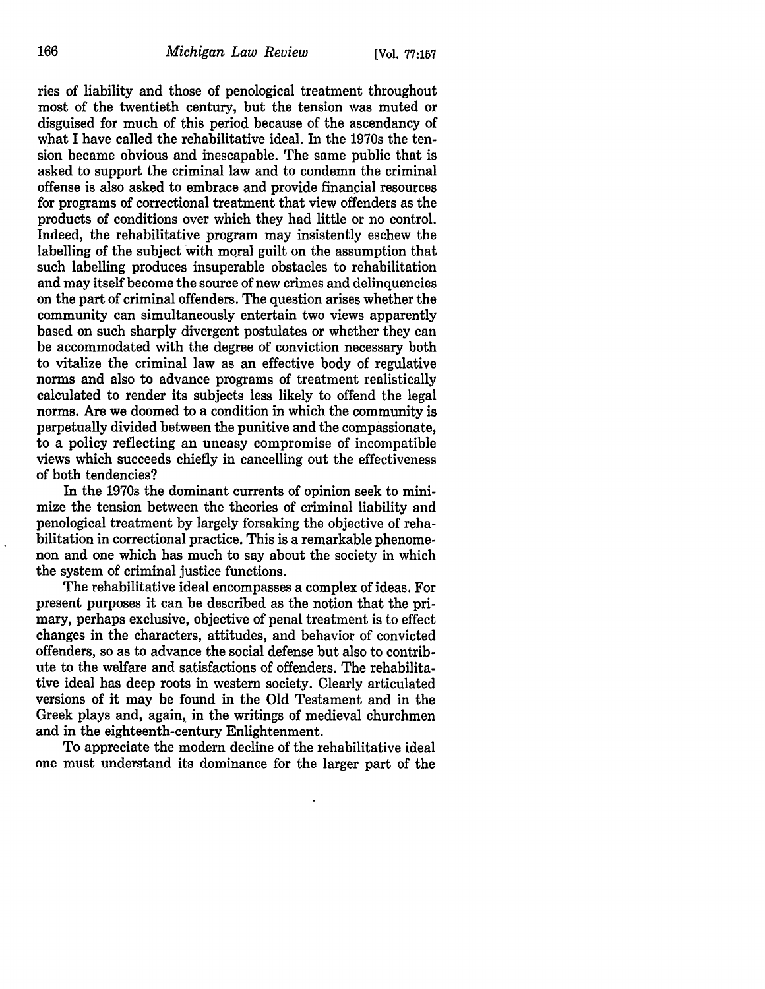ries of liability and those of penological treatment throughout most of the twentieth century, but the tension was muted or disguised for much of this period because of the ascendancy of what I have called the rehabilitative ideal. In the 1970s the tension became obvious and inescapable. The same public that is asked to support the criminal law and to condemn the criminal offense is also asked to embrace and provide finan\_cial resources for programs of correctional treatment that view offenders as the products of conditions over which they had little or no control. Indeed, the rehabilitative program may insistently eschew the labelling of the subject with moral guilt on the assumption that such labelling produces insuperable obstacles to rehabilitation and may itself become the source of new crimes and delinquencies on the part of criminal offenders. The question arises whether the community can simultaneously entertain two views apparently based on such sharply divergent postulates or whether they can be accommodated with the degree of conviction necessary both to vitalize the criminal law as an effective body of regulative norms and also to advance programs of treatment realistically calculated to render its subjects less likely to offend the legal norms. Are we doomed to a condition in which the community is perpetually divided between the punitive and the compassionate, to a policy reflecting an uneasy compromise of incompatible views which succeeds chiefly in cancelling out the effectiveness of both tendencies?

In the 1970s the dominant currents of opinion seek to minimize the tension between the theories of criminal liability and penological treatment by largely forsaking the objective of rehabilitation in correctional practice. This is a remarkable phenomenon and one which has much to say about the society in which the system of criminal justice functions.

The rehabilitative ideal encompasses a complex of ideas. For present purposes it can be described as the notion that the primary, perhaps exclusive, objective of penal treatment is to effect changes in the characters, attitudes, and behavior of convicted offenders, so as to advance the social defense but also to contribute to the welfare and satisfactions of offenders. The rehabilitative ideal has deep roots in western society. Clearly articulated versions of it may be found in the Old Testament and in the Greek plays and, again, in the writings of medieval churchmen and in the eighteenth-century Enlightenment.

To appreciate the modern decline of the rehabilitative ideal one must understand its dominance for the larger part of the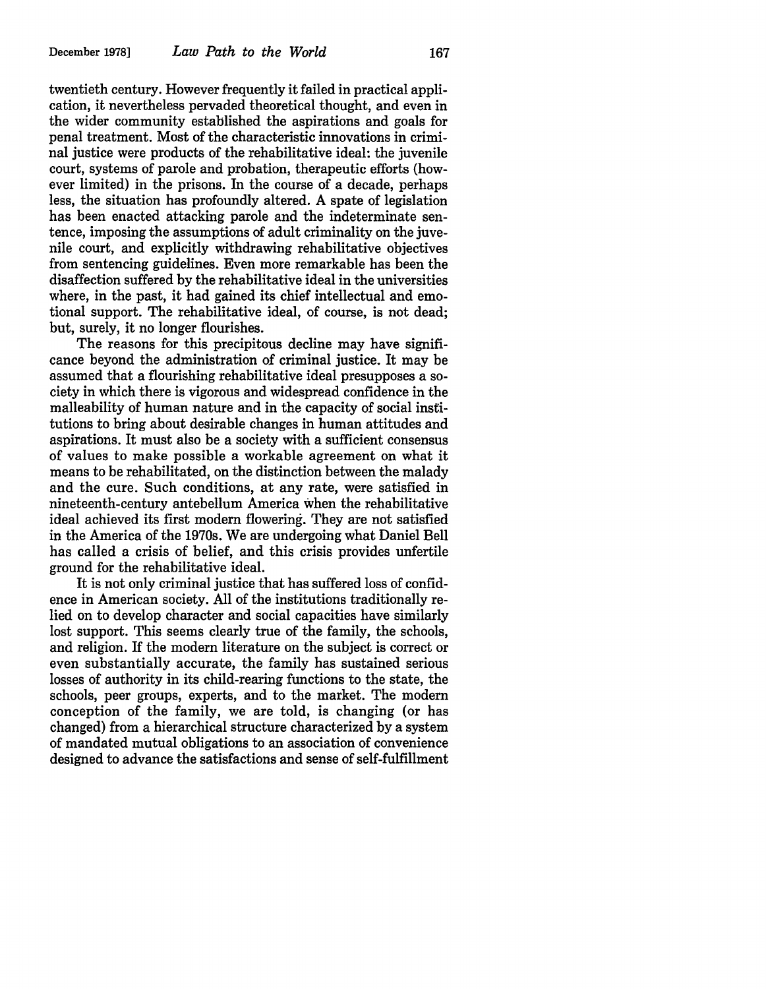twentieth century. However frequently it failed in practical application, it nevertheless pervaded theoretical thought, and even in the wider community established the aspirations and goals for penal treatment. Most of the characteristic innovations in criminal justice were products of the rehabilitative ideal: the juvenile court, systems of parole and probation, therapeutic efforts (however limited) in the prisons. In the course of a decade, perhaps less, the situation has profoundly altered. A spate of legislation has been enacted attacking parole and the indeterminate sentence, imposing the assumptions of adult criminality on the juvenile court, and explicitly withdrawing rehabilitative objectives from sentencing guidelines. Even more remarkable has been the disaffection suffered by the rehabilitative ideal in the universities where, in the past, it had gained its chief intellectual and emotional support. The rehabilitative ideal, of course, is not dead; but, surely, it no longer flourishes.

The reasons for this precipitous decline may have significance beyond the administration of criminal justice. It may be assumed that a flourishing rehabilitative ideal presupposes a society in which there is vigorous and widespread confidence in the malleability of human nature and in the capacity of social institutions to bring about desirable changes in human attitudes and aspirations. It must also be a society with a sufficient consensus of values to make possible a workable agreement on what it means to be rehabilitated, on the distinction between the malady and the cure. Such conditions, at any rate, were satisfied in nineteenth-century antebellum America when the rehabilitative ideal achieved its first modern flowering. They are not satisfied in the America of the 1970s. We are undergoing what Daniel Bell has called a crisis of belief, and this crisis provides unfertile ground for the rehabilitative ideal.

It is not only criminal justice that has suffered loss of confidence in American society. All of the institutions traditionally relied on to develop character and social capacities have similarly lost support. This seems clearly true of the family, the schools, and religion. If the modern literature on the subject is correct or even substantially accurate, the family has sustained serious losses of authority in its child-rearing functions to the state, the schools, peer groups, experts, and to the market. The modern conception of the family, we are told, is changing (or has changed) from a hierarchical structure characterized by a system of mandated mutual obligations to an association of convenience designed to advance the satisfactions and sense of self-fulfillment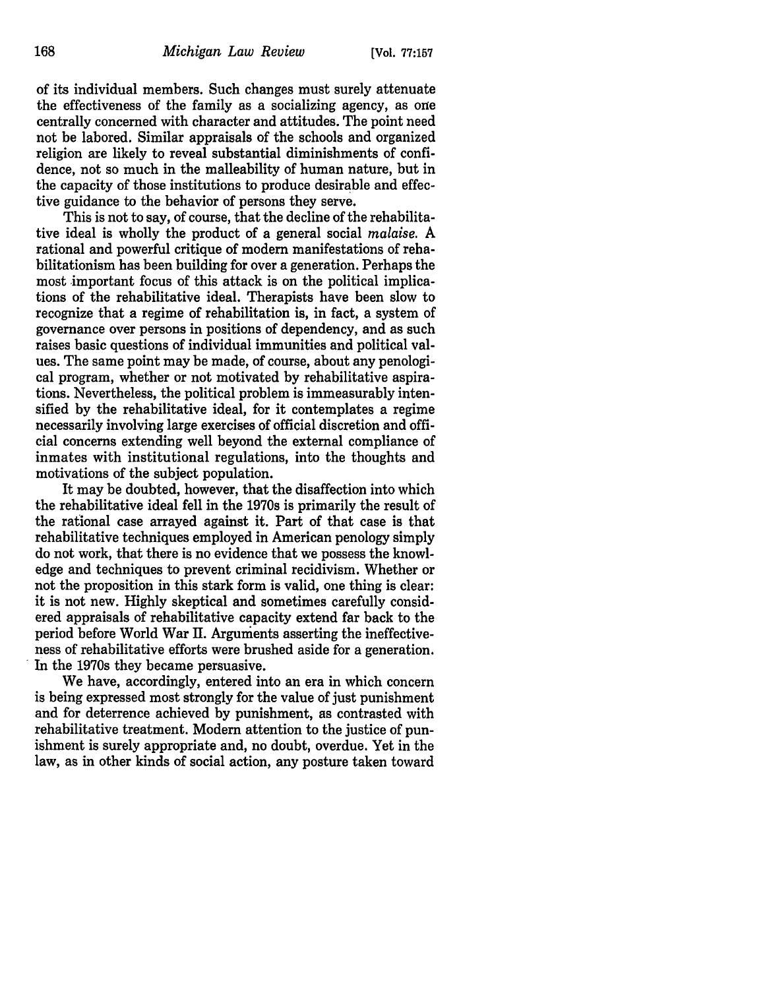of its individual members. Such changes must surely attenuate the effectiveness of the family as a socializing agency, as one centrally concerned with character and attitudes. The point need not be labored. Similar appraisals of the schools and organized religion are likely to reveal substantial diminishments of confidence, not so much in the malleability of human nature, but in the capacity of those institutions to produce desirable and effective guidance to the behavior of persons they serve.

This is not to say, of course, that the decline of the rehabilitative ideal is wholly the product of a general social *malaise.* A rational and powerful critique of modern manifestations of rehabilitationism has been building for over a generation. Perhaps the most important focus of this attack is on the political implications of the rehabilitative ideal. Therapists have been slow to recognize that a regime of rehabilitation is, in fact, a system of governance over persons in positions of dependency, and as such raises basic questions of individual immunities and political values. The same point may be made, of course, about any penological program, whether or not motivated by rehabilitative aspirations. Nevertheless, the political problem is immeasurably intensified by the rehabilitative ideal, for it contemplates a regime necessarily involving large exercises of official discretion and official concerns extending well beyond the external compliance of inmates with institutional regulations, into the thoughts and motivations of the subject population.

It may be doubted, however, that the disaffection into which the rehabilitative ideal fell in the 1970s is primarily the result of the rational case arrayed against it. Part of that case is that rehabilitative techniques employed in American penology simply do not work, that there is no evidence that we possess the knowledge and techniques to prevent criminal recidivism. Whether or not the proposition in this stark form is valid, one thing is clear: it is not new. Highly skeptical and sometimes carefully considered appraisals of rehabilitative capacity extend far back to the period before World War II. Arguments asserting the ineffectiveness of rehabilitative efforts were brushed aside for a generation. In the 1970s they became persuasive.

We have, accordingly, entered into an era in which concern is being expressed most strongly for the value of just punishment and for deterrence achieved by punishment, as contrasted with rehabilitative treatment. Modern attention to the justice of punishment is surely appropriate and, no doubt, overdue. Yet in the law, as in other kinds of social action, any posture taken toward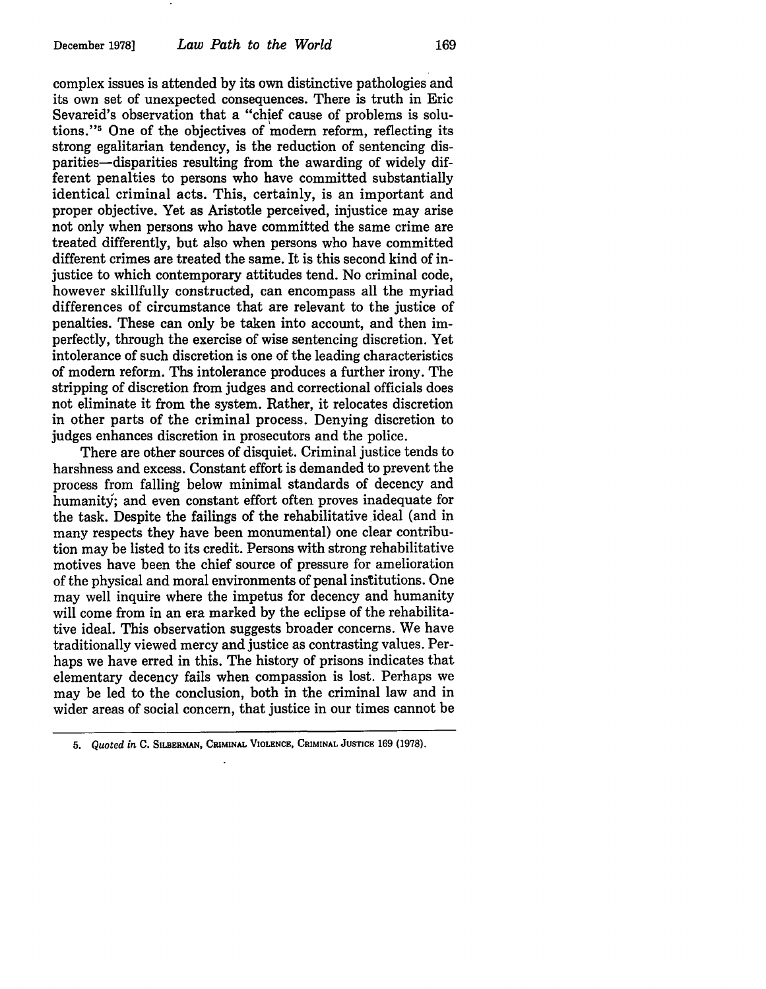complex issues is attended by its own distinctive pathologies and its own set of unexpected consequences. There is truth in Eric Sevareid's observation that a "chief cause of problems is solutions."5 One of the objectives of modern reform, reflecting its strong egalitarian tendency, is the reduction of sentencing disparities-disparities resulting from the awarding of widely different penalties to persons who have committed substantially identical criminal acts. This, certainly, is an important and proper objective. Yet as Aristotle perceived, injustice may arise not only when persons who have committed the same crime are treated differently, but also when persons who have committed different crimes are treated the same. It is this second kind of injustice to which contemporary attitudes tend. No criminal code, however skillfully constructed, can encompass all the myriad differences of circumstance that are relevant to the justice of penalties. These can only be taken into account, and then imperfectly, through the exercise of wise sentencing discretion. Yet intolerance of such discretion is one of the leading characteristics of modern reform. Ths intolerance produces a further irony. The stripping of discretion from judges and correctional officials does not eliminate it from the system. Rather, it relocates discretion in other parts of the criminal process. Denying discretion to judges enhances discretion in prosecutors and the police.

There are other sources of disquiet. Criminal justice tends to harshness and excess. Constant effort is demanded to prevent the process from falling below minimal standards of decency and humanity; and even constant effort often proves inadequate for the task. Despite the failings of the rehabilitative ideal (and in many respects they have been monumental) one clear contribution may be listed to its credit. Persons with strong rehabilitative motives have been the chief source of pressure for amelioration of the physical and moral environments of penal institutions. One may well inquire where the impetus for decency and humanity will come from in an era marked by the eclipse of the rehabilitative ideal. This observation suggests broader concerns. We have traditionally viewed mercy and justice as contrasting values. Perhaps we have erred in this. The history of prisons indicates that elementary decency fails when compassion is lost. Perhaps we may be led to the conclusion, both in the criminal law and in wider areas of social concern, that justice in our times cannot be

<sup>5.</sup> *Quoted in* C. SILBERMAN, CRIMINAL VIOLENCE, CRIMINAL JUSTICE 169 (1978).